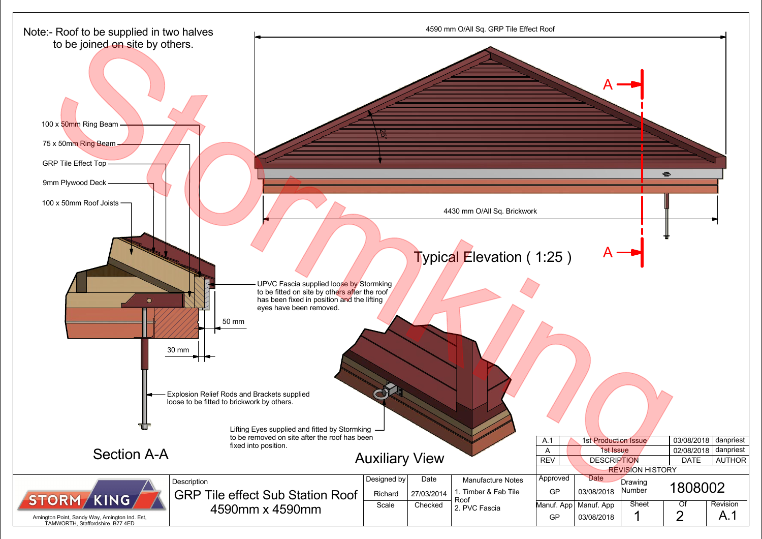